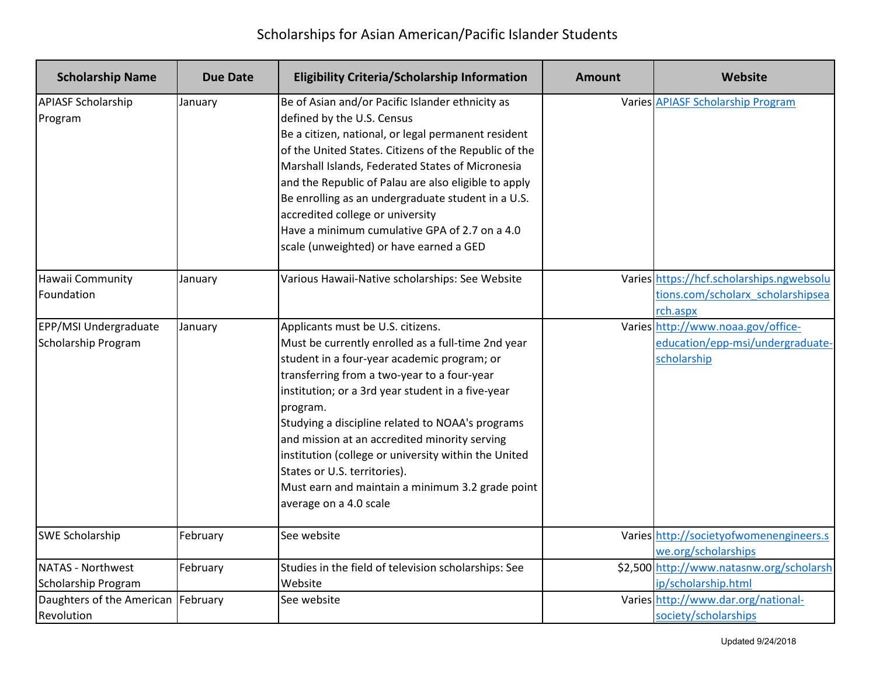| <b>Scholarship Name</b>                      | Due Date | <b>Eligibility Criteria/Scholarship Information</b>                                                                                                                                                                                                                                                                                                                                                                                                                                                                               | Amount | Website                                                                                    |
|----------------------------------------------|----------|-----------------------------------------------------------------------------------------------------------------------------------------------------------------------------------------------------------------------------------------------------------------------------------------------------------------------------------------------------------------------------------------------------------------------------------------------------------------------------------------------------------------------------------|--------|--------------------------------------------------------------------------------------------|
| <b>APIASF Scholarship</b><br>Program         | January  | Be of Asian and/or Pacific Islander ethnicity as<br>defined by the U.S. Census<br>Be a citizen, national, or legal permanent resident<br>of the United States. Citizens of the Republic of the<br>Marshall Islands, Federated States of Micronesia<br>and the Republic of Palau are also eligible to apply<br>Be enrolling as an undergraduate student in a U.S.<br>accredited college or university<br>Have a minimum cumulative GPA of 2.7 on a 4.0<br>scale (unweighted) or have earned a GED                                  |        | <b>Varies APIASF Scholarship Program</b>                                                   |
| Hawaii Community<br>Foundation               | January  | Various Hawaii-Native scholarships: See Website                                                                                                                                                                                                                                                                                                                                                                                                                                                                                   |        | Varies https://hcf.scholarships.ngwebsolu<br>tions.com/scholarx_scholarshipsea<br>rch.aspx |
| EPP/MSI Undergraduate<br>Scholarship Program | January  | Applicants must be U.S. citizens.<br>Must be currently enrolled as a full-time 2nd year<br>student in a four-year academic program; or<br>transferring from a two-year to a four-year<br>institution; or a 3rd year student in a five-year<br>program.<br>Studying a discipline related to NOAA's programs<br>and mission at an accredited minority serving<br>institution (college or university within the United<br>States or U.S. territories).<br>Must earn and maintain a minimum 3.2 grade point<br>average on a 4.0 scale |        | Varies http://www.noaa.gov/office-<br>education/epp-msi/undergraduate-<br>scholarship      |
| <b>SWE Scholarship</b>                       | February | See website                                                                                                                                                                                                                                                                                                                                                                                                                                                                                                                       |        | Varies http://societyofwomenengineers.s<br>we.org/scholarships                             |
| NATAS - Northwest<br>Scholarship Program     | February | Studies in the field of television scholarships: See<br>Website                                                                                                                                                                                                                                                                                                                                                                                                                                                                   |        | \$2,500 http://www.natasnw.org/scholarsh<br>ip/scholarship.html                            |
| Daughters of the American<br>Revolution      | February | See website                                                                                                                                                                                                                                                                                                                                                                                                                                                                                                                       |        | Varies http://www.dar.org/national-<br>society/scholarships                                |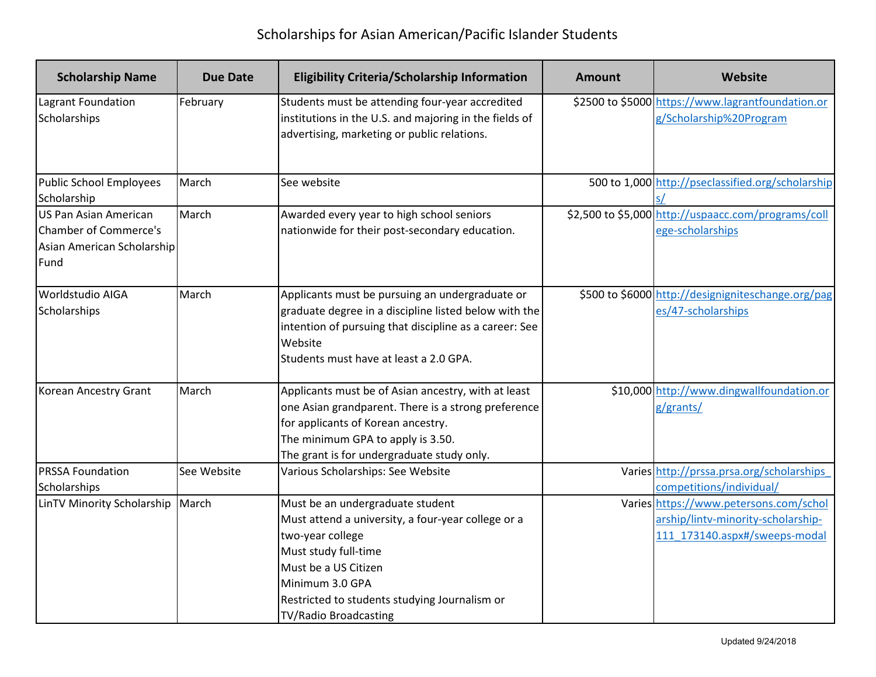| <b>Scholarship Name</b>                                                              | Due Date    | <b>Eligibility Criteria/Scholarship Information</b>                                                                                                                                                                                                     | Amount | Website                                                                                                       |
|--------------------------------------------------------------------------------------|-------------|---------------------------------------------------------------------------------------------------------------------------------------------------------------------------------------------------------------------------------------------------------|--------|---------------------------------------------------------------------------------------------------------------|
| Lagrant Foundation<br>Scholarships                                                   | February    | Students must be attending four-year accredited<br>institutions in the U.S. and majoring in the fields of<br>advertising, marketing or public relations.                                                                                                |        | \$2500 to \$5000 https://www.lagrantfoundation.or<br>g/Scholarship%20Program                                  |
| Public School Employees<br>Scholarship                                               | March       | See website                                                                                                                                                                                                                                             |        | 500 to 1,000 http://pseclassified.org/scholarship                                                             |
| US Pan Asian American<br>Chamber of Commerce's<br>Asian American Scholarship<br>Fund | March       | Awarded every year to high school seniors<br>nationwide for their post-secondary education.                                                                                                                                                             |        | \$2,500 to \$5,000 http://uspaacc.com/programs/coll<br>ege-scholarships                                       |
| <b>Worldstudio AIGA</b><br>Scholarships                                              | March       | Applicants must be pursuing an undergraduate or<br>graduate degree in a discipline listed below with the<br>intention of pursuing that discipline as a career: See<br>Website<br>Students must have at least a 2.0 GPA.                                 |        | \$500 to \$6000 http://designigniteschange.org/pag<br>es/47-scholarships                                      |
| Korean Ancestry Grant                                                                | March       | Applicants must be of Asian ancestry, with at least<br>one Asian grandparent. There is a strong preference<br>for applicants of Korean ancestry.<br>The minimum GPA to apply is 3.50.<br>The grant is for undergraduate study only.                     |        | \$10,000 http://www.dingwallfoundation.or<br>g/grants/                                                        |
| <b>PRSSA Foundation</b><br>Scholarships                                              | See Website | Various Scholarships: See Website                                                                                                                                                                                                                       |        | Varies http://prssa.prsa.org/scholarships<br>competitions/individual/                                         |
| LinTV Minority Scholarship                                                           | March       | Must be an undergraduate student<br>Must attend a university, a four-year college or a<br>two-year college<br>Must study full-time<br>Must be a US Citizen<br>Minimum 3.0 GPA<br>Restricted to students studying Journalism or<br>TV/Radio Broadcasting |        | Varies https://www.petersons.com/schol<br>arship/lintv-minority-scholarship-<br>111 173140.aspx#/sweeps-modal |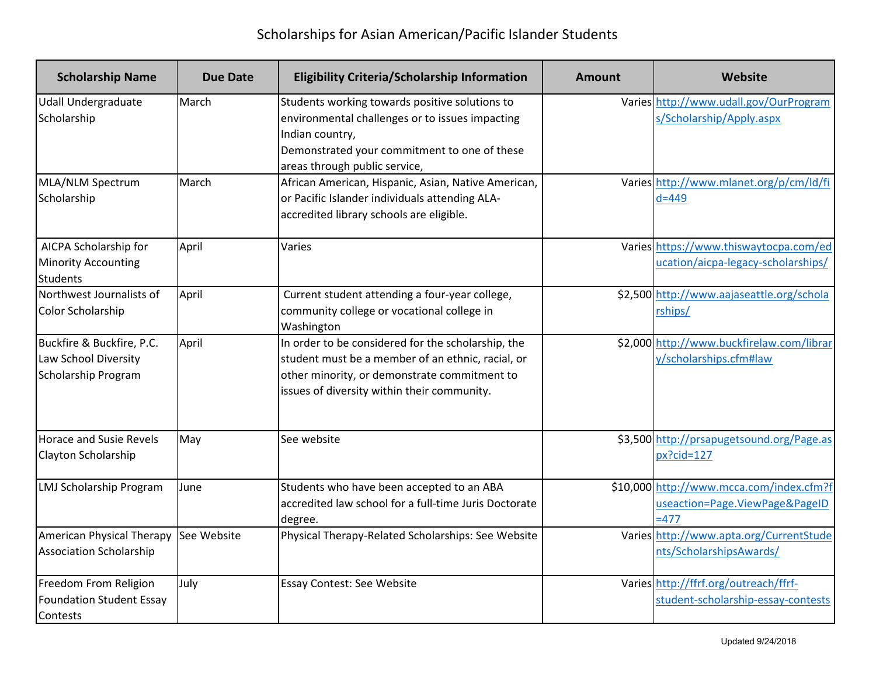| <b>Scholarship Name</b>                                                         | <b>Due Date</b> | <b>Eligibility Criteria/Scholarship Information</b>                                                                                                                                                    | <b>Amount</b> | Website                                                                              |
|---------------------------------------------------------------------------------|-----------------|--------------------------------------------------------------------------------------------------------------------------------------------------------------------------------------------------------|---------------|--------------------------------------------------------------------------------------|
| <b>Udall Undergraduate</b><br>Scholarship                                       | March           | Students working towards positive solutions to<br>environmental challenges or to issues impacting<br>Indian country,<br>Demonstrated your commitment to one of these<br>areas through public service,  |               | Varies http://www.udall.gov/OurProgram<br>s/Scholarship/Apply.aspx                   |
| MLA/NLM Spectrum<br>Scholarship                                                 | March           | African American, Hispanic, Asian, Native American,<br>or Pacific Islander individuals attending ALA-<br>accredited library schools are eligible.                                                      |               | Varies http://www.mlanet.org/p/cm/ld/fi<br>$d=449$                                   |
| AICPA Scholarship for<br><b>Minority Accounting</b><br>Students                 | April           | Varies                                                                                                                                                                                                 |               | Varies https://www.thiswaytocpa.com/ed<br>ucation/aicpa-legacy-scholarships/         |
| Northwest Journalists of<br>Color Scholarship                                   | April           | Current student attending a four-year college,<br>community college or vocational college in<br>Washington                                                                                             |               | \$2,500 http://www.aajaseattle.org/schola<br>rships/                                 |
| Buckfire & Buckfire, P.C.<br>Law School Diversity<br><b>Scholarship Program</b> | April           | In order to be considered for the scholarship, the<br>student must be a member of an ethnic, racial, or<br>other minority, or demonstrate commitment to<br>issues of diversity within their community. |               | \$2,000 http://www.buckfirelaw.com/librar<br>y/scholarships.cfm#law                  |
| <b>Horace and Susie Revels</b><br>Clayton Scholarship                           | May             | See website                                                                                                                                                                                            |               | \$3,500 http://prsapugetsound.org/Page.as<br>$px?cid=127$                            |
| LMJ Scholarship Program                                                         | June            | Students who have been accepted to an ABA<br>accredited law school for a full-time Juris Doctorate<br>degree.                                                                                          |               | \$10,000 http://www.mcca.com/index.cfm?f<br>useaction=Page.ViewPage&PageID<br>$=477$ |
| American Physical Therapy<br><b>Association Scholarship</b>                     | See Website     | Physical Therapy-Related Scholarships: See Website                                                                                                                                                     |               | Varies http://www.apta.org/CurrentStude<br>nts/ScholarshipsAwards/                   |
| Freedom From Religion<br>Foundation Student Essay<br><b>Contests</b>            | July            | Essay Contest: See Website                                                                                                                                                                             |               | Varies http://ffrf.org/outreach/ffrf-<br>student-scholarship-essay-contests          |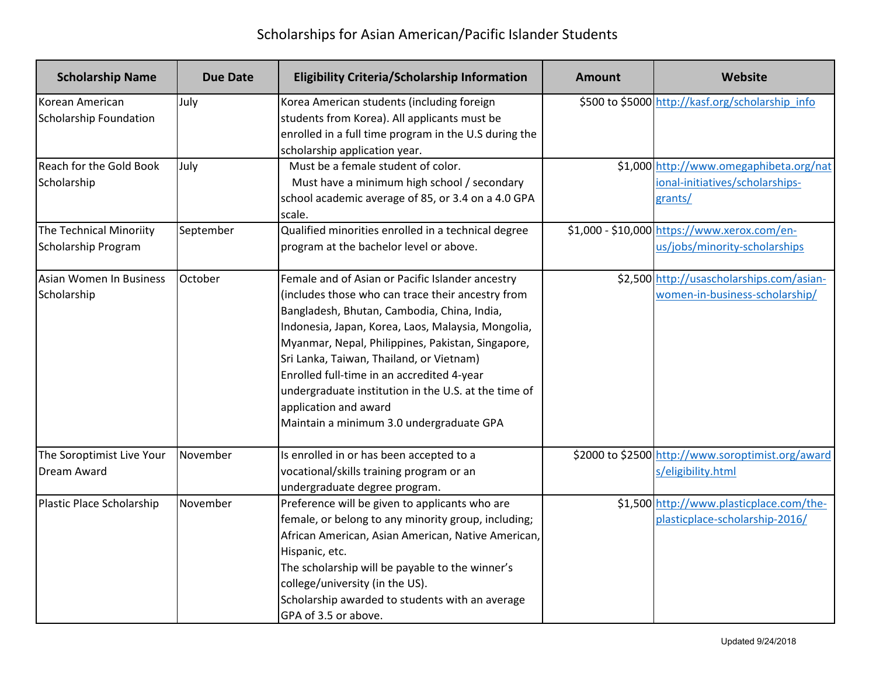| <b>Scholarship Name</b>                          | <b>Due Date</b> | <b>Eligibility Criteria/Scholarship Information</b>                                                                                                                                                                                                                                                                                                                                                                                                                                    | Amount | <b>Website</b>                                                                        |
|--------------------------------------------------|-----------------|----------------------------------------------------------------------------------------------------------------------------------------------------------------------------------------------------------------------------------------------------------------------------------------------------------------------------------------------------------------------------------------------------------------------------------------------------------------------------------------|--------|---------------------------------------------------------------------------------------|
| Korean American<br><b>Scholarship Foundation</b> | July            | Korea American students (including foreign<br>students from Korea). All applicants must be<br>enrolled in a full time program in the U.S during the<br>scholarship application year.                                                                                                                                                                                                                                                                                                   |        | \$500 to \$5000 http://kasf.org/scholarship info                                      |
| Reach for the Gold Book<br>Scholarship           | July            | Must be a female student of color.<br>Must have a minimum high school / secondary<br>school academic average of 85, or 3.4 on a 4.0 GPA<br>scale.                                                                                                                                                                                                                                                                                                                                      |        | \$1,000 http://www.omegaphibeta.org/nat<br>ional-initiatives/scholarships-<br>grants/ |
| The Technical Minoriity<br>Scholarship Program   | September       | Qualified minorities enrolled in a technical degree<br>program at the bachelor level or above.                                                                                                                                                                                                                                                                                                                                                                                         |        | \$1,000 - \$10,000 https://www.xerox.com/en-<br>us/jobs/minority-scholarships         |
| Asian Women In Business<br>Scholarship           | October         | Female and of Asian or Pacific Islander ancestry<br>(includes those who can trace their ancestry from<br>Bangladesh, Bhutan, Cambodia, China, India,<br>Indonesia, Japan, Korea, Laos, Malaysia, Mongolia,<br>Myanmar, Nepal, Philippines, Pakistan, Singapore,<br>Sri Lanka, Taiwan, Thailand, or Vietnam)<br>Enrolled full-time in an accredited 4-year<br>undergraduate institution in the U.S. at the time of<br>application and award<br>Maintain a minimum 3.0 undergraduate GPA |        | \$2,500 http://usascholarships.com/asian-<br>women-in-business-scholarship/           |
| The Soroptimist Live Your<br><b>Dream Award</b>  | November        | Is enrolled in or has been accepted to a<br>vocational/skills training program or an<br>undergraduate degree program.                                                                                                                                                                                                                                                                                                                                                                  |        | \$2000 to \$2500 http://www.soroptimist.org/award<br>s/eligibility.html               |
| Plastic Place Scholarship                        | November        | Preference will be given to applicants who are<br>female, or belong to any minority group, including;<br>African American, Asian American, Native American,<br>Hispanic, etc.<br>The scholarship will be payable to the winner's<br>college/university (in the US).<br>Scholarship awarded to students with an average<br>GPA of 3.5 or above.                                                                                                                                         |        | \$1,500 http://www.plasticplace.com/the-<br>plasticplace-scholarship-2016/            |